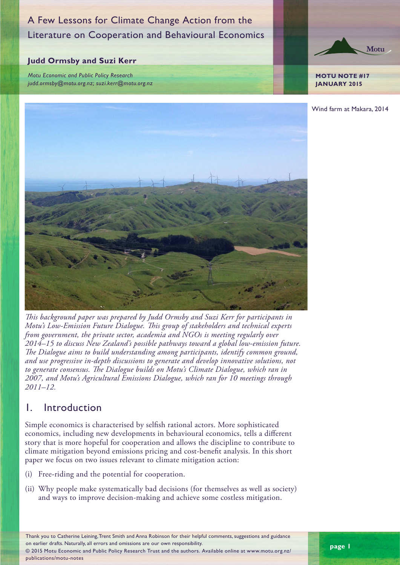# A Few Lessons for Climate Change Action from the Literature on Cooperation and Behavioural Economics

#### **Judd Ormsby and Suzi Kerr**

*Motu Economic and Public Policy Research judd.ormsby@motu.org.nz; suzi.kerr@motu.org.nz*



**JANUARY 2015**

Wind farm at Makara, 2014



*This background paper was prepared by Judd Ormsby and Suzi Kerr for participants in Motu's Low-Emission Future Dialogue. This group of stakeholders and technical experts from government, the private sector, academia and NGOs is meeting regularly over 2014–15 to discuss New Zealand's possible pathways toward a global low-emission future. The Dialogue aims to build understanding among participants, identify common ground, and use progressive in-depth discussions to generate and develop innovative solutions, not to generate consensus. The Dialogue builds on Motu's Climate Dialogue, which ran in 2007, and Motu's Agricultural Emissions Dialogue, which ran for 10 meetings through 2011–12.* 

## 1. Introduction

Simple economics is characterised by selfish rational actors. More sophisticated economics, including new developments in behavioural economics, tells a different story that is more hopeful for cooperation and allows the discipline to contribute to climate mitigation beyond emissions pricing and cost-benefit analysis. In this short paper we focus on two issues relevant to climate mitigation action:

- (i) Free-riding and the potential for cooperation.
- (ii) Why people make systematically bad decisions (for themselves as well as society) and ways to improve decision-making and achieve some costless mitigation.

Thank you to Catherine Leining, Trent Smith and Anna Robinson for their helpful comments, suggestions and guidance on earlier drafts. Naturally, all errors and omissions are our own responsibility. © 2015 Motu Economic and Public Policy Research Trust and the authors. Available online at www.motu.org.nz/ publications/motu-notes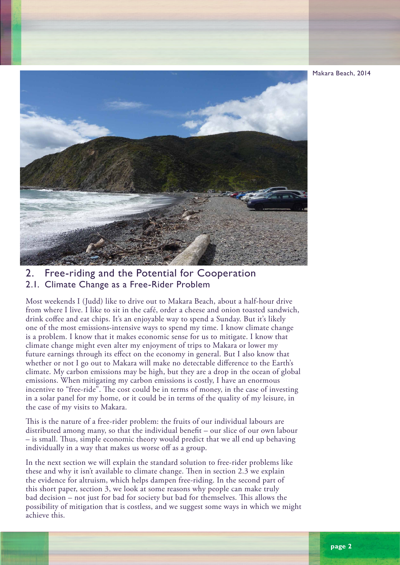

## 2. Free-riding and the Potential for Cooperation 2.1. Climate Change as a Free-Rider Problem

Most weekends I (Judd) like to drive out to Makara Beach, about a half-hour drive from where I live. I like to sit in the café, order a cheese and onion toasted sandwich, drink coffee and eat chips. It's an enjoyable way to spend a Sunday. But it's likely one of the most emissions-intensive ways to spend my time. I know climate change is a problem. I know that it makes economic sense for us to mitigate. I know that climate change might even alter my enjoyment of trips to Makara or lower my future earnings through its effect on the economy in general. But I also know that whether or not I go out to Makara will make no detectable difference to the Earth's climate. My carbon emissions may be high, but they are a drop in the ocean of global emissions. When mitigating my carbon emissions is costly, I have an enormous incentive to "free-ride". The cost could be in terms of money, in the case of investing in a solar panel for my home, or it could be in terms of the quality of my leisure, in the case of my visits to Makara.

This is the nature of a free-rider problem: the fruits of our individual labours are distributed among many, so that the individual benefit – our slice of our own labour – is small. Thus, simple economic theory would predict that we all end up behaving individually in a way that makes us worse off as a group.

In the next section we will explain the standard solution to free-rider problems like these and why it isn't available to climate change. Then in section 2.3 we explain the evidence for altruism, which helps dampen free-riding. In the second part of this short paper, section 3, we look at some reasons why people can make truly bad decision – not just for bad for society but bad for themselves. This allows the possibility of mitigation that is costless, and we suggest some ways in which we might achieve this.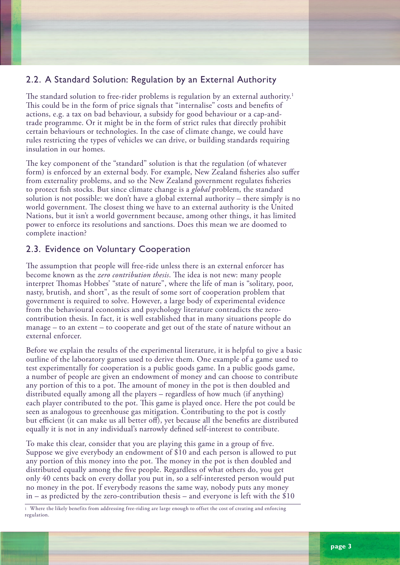## 2.2. A Standard Solution: Regulation by an External Authority

The standard solution to free-rider problems is regulation by an external authority.<sup>1</sup> This could be in the form of price signals that "internalise" costs and benefits of actions, e.g. a tax on bad behaviour, a subsidy for good behaviour or a cap-andtrade programme. Or it might be in the form of strict rules that directly prohibit certain behaviours or technologies. In the case of climate change, we could have rules restricting the types of vehicles we can drive, or building standards requiring insulation in our homes.

The key component of the "standard" solution is that the regulation (of whatever form) is enforced by an external body. For example, New Zealand fisheries also suffer from externality problems, and so the New Zealand government regulates fisheries to protect fish stocks. But since climate change is a *global* problem, the standard solution is not possible: we don't have a global external authority – there simply is no world government. The closest thing we have to an external authority is the United Nations, but it isn't a world government because, among other things, it has limited power to enforce its resolutions and sanctions. Does this mean we are doomed to complete inaction?

### 2.3. Evidence on Voluntary Cooperation

The assumption that people will free-ride unless there is an external enforcer has become known as the *zero contribution thesis*. The idea is not new: many people interpret Thomas Hobbes' "state of nature", where the life of man is "solitary, poor, nasty, brutish, and short", as the result of some sort of cooperation problem that government is required to solve. However, a large body of experimental evidence from the behavioural economics and psychology literature contradicts the zerocontribution thesis. In fact, it is well established that in many situations people do manage – to an extent – to cooperate and get out of the state of nature without an external enforcer.

Before we explain the results of the experimental literature, it is helpful to give a basic outline of the laboratory games used to derive them. One example of a game used to test experimentally for cooperation is a public goods game. In a public goods game, a number of people are given an endowment of money and can choose to contribute any portion of this to a pot. The amount of money in the pot is then doubled and distributed equally among all the players – regardless of how much (if anything) each player contributed to the pot. This game is played once. Here the pot could be seen as analogous to greenhouse gas mitigation. Contributing to the pot is costly but efficient (it can make us all better off), yet because all the benefits are distributed equally it is not in any individual's narrowly defined self-interest to contribute.

To make this clear, consider that you are playing this game in a group of five. Suppose we give everybody an endowment of \$10 and each person is allowed to put any portion of this money into the pot. The money in the pot is then doubled and distributed equally among the five people. Regardless of what others do, you get only 40 cents back on every dollar you put in, so a self-interested person would put no money in the pot. If everybody reasons the same way, nobody puts any money  $in -$  as predicted by the zero-contribution thesis – and everyone is left with the \$10

1 Where the likely benefits from addressing free-riding are large enough to offset the cost of creating and enforcing regulation.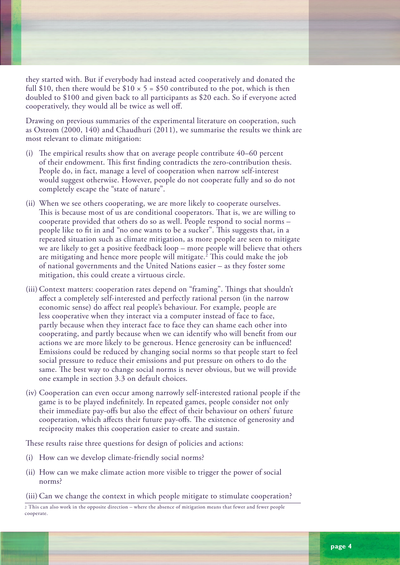they started with. But if everybody had instead acted cooperatively and donated the full \$10, then there would be \$10  $\times$  5 = \$50 contributed to the pot, which is then doubled to \$100 and given back to all participants as \$20 each. So if everyone acted cooperatively, they would all be twice as well off.

Drawing on previous summaries of the experimental literature on cooperation, such as Ostrom (2000, 140) and Chaudhuri (2011), we summarise the results we think are most relevant to climate mitigation:

- (i) The empirical results show that on average people contribute 40–60 percent of their endowment. This first finding contradicts the zero-contribution thesis. People do, in fact, manage a level of cooperation when narrow self-interest would suggest otherwise. However, people do not cooperate fully and so do not completely escape the "state of nature".
- (ii) When we see others cooperating, we are more likely to cooperate ourselves. This is because most of us are conditional cooperators. That is, we are willing to cooperate provided that others do so as well. People respond to social norms – people like to fit in and "no one wants to be a sucker". This suggests that, in a repeated situation such as climate mitigation, as more people are seen to mitigate we are likely to get a positive feedback loop – more people will believe that others are mitigating and hence more people will mitigate.2 This could make the job of national governments and the United Nations easier – as they foster some mitigation, this could create a virtuous circle.
- (iii) Context matters: cooperation rates depend on "framing". Things that shouldn't affect a completely self-interested and perfectly rational person (in the narrow economic sense) do affect real people's behaviour. For example, people are less cooperative when they interact via a computer instead of face to face, partly because when they interact face to face they can shame each other into cooperating, and partly because when we can identify who will benefit from our actions we are more likely to be generous. Hence generosity can be influenced! Emissions could be reduced by changing social norms so that people start to feel social pressure to reduce their emissions and put pressure on others to do the same. The best way to change social norms is never obvious, but we will provide one example in section 3.3 on default choices.
- (iv) Cooperation can even occur among narrowly self-interested rational people if the game is to be played indefinitely. In repeated games, people consider not only their immediate pay-offs but also the effect of their behaviour on others' future cooperation, which affects their future pay-offs. The existence of generosity and reciprocity makes this cooperation easier to create and sustain.

These results raise three questions for design of policies and actions:

- (i) How can we develop climate-friendly social norms?
- (ii) How can we make climate action more visible to trigger the power of social norms?

(iii) Can we change the context in which people mitigate to stimulate cooperation?

2 This can also work in the opposite direction – where the absence of mitigation means that fewer and fewer people cooperate.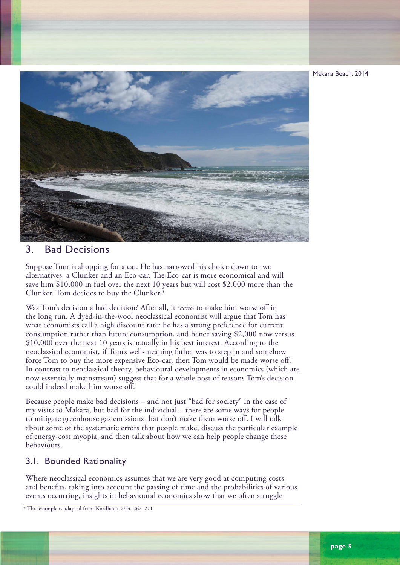Makara Beach, 2014



## 3. Bad Decisions

Suppose Tom is shopping for a car. He has narrowed his choice down to two alternatives: a Clunker and an Eco-car. The Eco-car is more economical and will save him \$10,000 in fuel over the next 10 years but will cost \$2,000 more than the Clunker. Tom decides to buy the Clunker.3

Was Tom's decision a bad decision? After all, it *seems* to make him worse off in the long run. A dyed-in-the-wool neoclassical economist will argue that Tom has what economists call a high discount rate: he has a strong preference for current consumption rather than future consumption, and hence saving \$2,000 now versus \$10,000 over the next 10 years is actually in his best interest. According to the neoclassical economist, if Tom's well-meaning father was to step in and somehow force Tom to buy the more expensive Eco-car, then Tom would be made worse off. In contrast to neoclassical theory, behavioural developments in economics (which are now essentially mainstream) suggest that for a whole host of reasons Tom's decision could indeed make him worse off.

Because people make bad decisions – and not just "bad for society" in the case of my visits to Makara, but bad for the individual – there are some ways for people to mitigate greenhouse gas emissions that don't make them worse off. I will talk about some of the systematic errors that people make, discuss the particular example of energy-cost myopia, and then talk about how we can help people change these behaviours.

#### 3.1. Bounded Rationality

Where neoclassical economics assumes that we are very good at computing costs and benefits, taking into account the passing of time and the probabilities of various events occurring, insights in behavioural economics show that we often struggle

3 This example is adapted from Nordhaus 2013, 267–271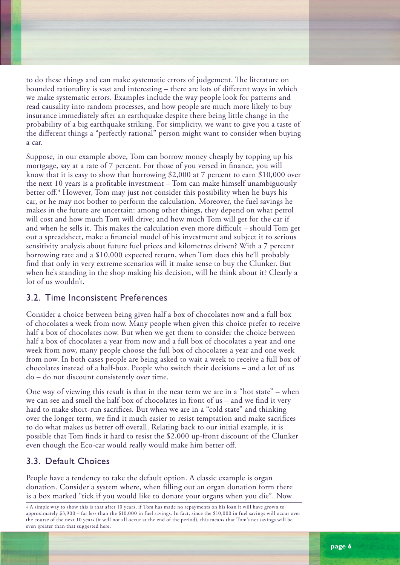to do these things and can make systematic errors of judgement. The literature on bounded rationality is vast and interesting – there are lots of different ways in which we make systematic errors. Examples include the way people look for patterns and read causality into random processes, and how people are much more likely to buy insurance immediately after an earthquake despite there being little change in the probability of a big earthquake striking. For simplicity, we want to give you a taste of the different things a "perfectly rational" person might want to consider when buying a car.

Suppose, in our example above, Tom can borrow money cheaply by topping up his mortgage, say at a rate of 7 percent. For those of you versed in finance, you will know that it is easy to show that borrowing \$2,000 at 7 percent to earn \$10,000 over the next 10 years is a profitable investment – Tom can make himself unambiguously better off.4 However, Tom may just not consider this possibility when he buys his car, or he may not bother to perform the calculation. Moreover, the fuel savings he makes in the future are uncertain: among other things, they depend on what petrol will cost and how much Tom will drive; and how much Tom will get for the car if and when he sells it. This makes the calculation even more difficult – should Tom get out a spreadsheet, make a financial model of his investment and subject it to serious sensitivity analysis about future fuel prices and kilometres driven? With a 7 percent borrowing rate and a \$10,000 expected return, when Tom does this he'll probably find that only in very extreme scenarios will it make sense to buy the Clunker. But when he's standing in the shop making his decision, will he think about it? Clearly a lot of us wouldn't.

#### 3.2. Time Inconsistent Preferences

Consider a choice between being given half a box of chocolates now and a full box of chocolates a week from now. Many people when given this choice prefer to receive half a box of chocolates now. But when we get them to consider the choice between half a box of chocolates a year from now and a full box of chocolates a year and one week from now, many people choose the full box of chocolates a year and one week from now. In both cases people are being asked to wait a week to receive a full box of chocolates instead of a half-box. People who switch their decisions – and a lot of us do – do not discount consistently over time.

One way of viewing this result is that in the near term we are in a "hot state" – when we can see and smell the half-box of chocolates in front of us – and we find it very hard to make short-run sacrifices. But when we are in a "cold state" and thinking over the longer term, we find it much easier to resist temptation and make sacrifices to do what makes us better off overall. Relating back to our initial example, it is possible that Tom finds it hard to resist the \$2,000 up-front discount of the Clunker even though the Eco-car would really would make him better off.

### 3.3. Default Choices

People have a tendency to take the default option. A classic example is organ donation. Consider a system where, when filling out an organ donation form there is a box marked "tick if you would like to donate your organs when you die". Now

4 A simple way to show this is that after 10 years, if Tom has made no repayments on his loan it will have grown to approximately \$3,900 – far less than the \$10,000 in fuel savings. In fact, since the \$10,000 in fuel savings will occur over the course of the next 10 years (it will not all occur at the end of the period), this means that Tom's net savings will be even greater than that suggested here.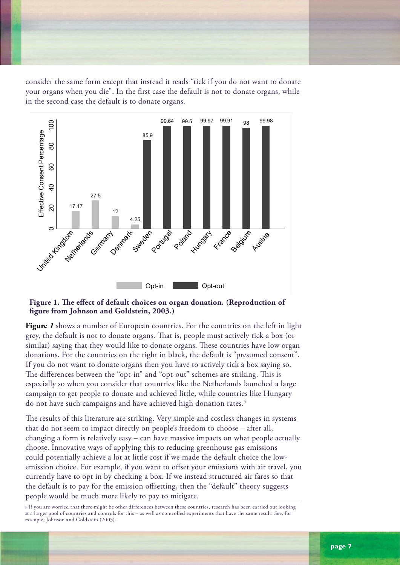consider the same form except that instead it reads "tick if you do not want to donate your organs when you die". In the first case the default is not to donate organs, while in the second case the default is to donate organs.



#### **Figure 1. The effect of default choices on organ donation. (Reproduction of figure from Johnson and Goldstein, 2003.)**

**Figure** *1* shows a number of European countries. For the countries on the left in light grey, the default is not to donate organs. That is, people must actively tick a box (or similar) saying that they would like to donate organs. These countries have low organ donations. For the countries on the right in black, the default is "presumed consent". If you do not want to donate organs then you have to actively tick a box saying so. The differences between the "opt-in" and "opt-out" schemes are striking. This is especially so when you consider that countries like the Netherlands launched a large campaign to get people to donate and achieved little, while countries like Hungary do not have such campaigns and have achieved high donation rates.<sup>5</sup>

The results of this literature are striking. Very simple and costless changes in systems that do not seem to impact directly on people's freedom to choose – after all, changing a form is relatively easy – can have massive impacts on what people actually choose. Innovative ways of applying this to reducing greenhouse gas emissions could potentially achieve a lot at little cost if we made the default choice the lowemission choice. For example, if you want to offset your emissions with air travel, you currently have to opt in by checking a box. If we instead structured air fares so that the default is to pay for the emission offsetting, then the "default" theory suggests people would be much more likely to pay to mitigate.

5 If you are worried that there might be other differences between these countries, research has been carried out looking at a larger pool of countries and controls for this – as well as controlled experiments that have the same result. See, for example, Johnson and Goldstein (2003).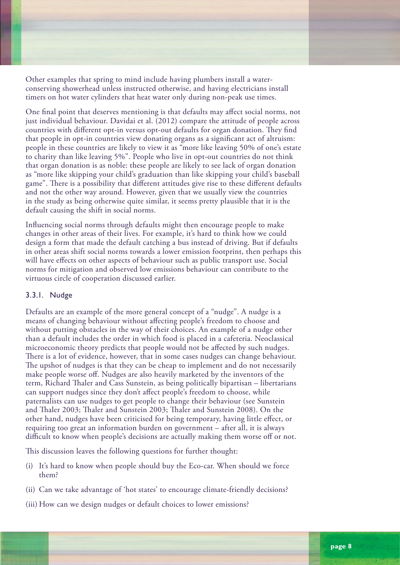Other examples that spring to mind include having plumbers install a waterconserving showerhead unless instructed otherwise, and having electricians install timers on hot water cylinders that heat water only during non-peak use times.

One final point that deserves mentioning is that defaults may affect social norms, not just individual behaviour. Davidai et al. (2012) compare the attitude of people across countries with different opt-in versus opt-out defaults for organ donation. They find that people in opt-in countries view donating organs as a significant act of altruism: people in these countries are likely to view it as "more like leaving 50% of one's estate to charity than like leaving 5%". People who live in opt-out countries do not think that organ donation is as noble: these people are likely to see lack of organ donation as "more like skipping your child's graduation than like skipping your child's baseball game". There is a possibility that different attitudes give rise to these different defaults and not the other way around. However, given that we usually view the countries in the study as being otherwise quite similar, it seems pretty plausible that it is the default causing the shift in social norms.

Influencing social norms through defaults might then encourage people to make changes in other areas of their lives. For example, it's hard to think how we could design a form that made the default catching a bus instead of driving. But if defaults in other areas shift social norms towards a lower emission footprint, then perhaps this will have effects on other aspects of behaviour such as public transport use. Social norms for mitigation and observed low emissions behaviour can contribute to the virtuous circle of cooperation discussed earlier.

#### 3.3.1. Nudge

Defaults are an example of the more general concept of a "nudge". A nudge is a means of changing behaviour without affecting people's freedom to choose and without putting obstacles in the way of their choices. An example of a nudge other than a default includes the order in which food is placed in a cafeteria. Neoclassical microeconomic theory predicts that people would not be affected by such nudges. There is a lot of evidence, however, that in some cases nudges can change behaviour. The upshot of nudges is that they can be cheap to implement and do not necessarily make people worse off. Nudges are also heavily marketed by the inventors of the term, Richard Thaler and Cass Sunstein, as being politically bipartisan – libertarians can support nudges since they don't affect people's freedom to choose, while paternalists can use nudges to get people to change their behaviour (see Sunstein and Thaler 2003; Thaler and Sunstein 2003; Thaler and Sunstein 2008). On the other hand, nudges have been criticised for being temporary, having little effect, or requiring too great an information burden on government – after all, it is always difficult to know when people's decisions are actually making them worse off or not.

This discussion leaves the following questions for further thought:

- (i) It's hard to know when people should buy the Eco-car. When should we force them?
- (ii) Can we take advantage of 'hot states' to encourage climate-friendly decisions?
- (iii) How can we design nudges or default choices to lower emissions?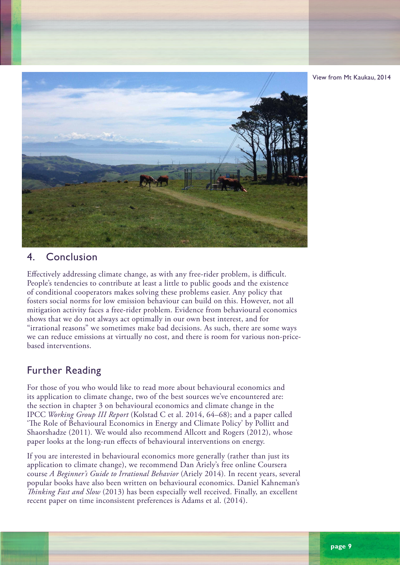



## 4. Conclusion

Effectively addressing climate change, as with any free-rider problem, is difficult. People's tendencies to contribute at least a little to public goods and the existence of conditional cooperators makes solving these problems easier. Any policy that fosters social norms for low emission behaviour can build on this. However, not all mitigation activity faces a free-rider problem. Evidence from behavioural economics shows that we do not always act optimally in our own best interest, and for "irrational reasons" we sometimes make bad decisions. As such, there are some ways we can reduce emissions at virtually no cost, and there is room for various non-pricebased interventions.

## Further Reading

For those of you who would like to read more about behavioural economics and its application to climate change, two of the best sources we've encountered are: the section in chapter 3 on behavioural economics and climate change in the IPCC *Working Group III Report* (Kolstad C et al. 2014, 64–68); and a paper called 'The Role of Behavioural Economics in Energy and Climate Policy' by Pollitt and Shaorshadze (2011)*.* We would also recommend Allcott and Rogers (2012), whose paper looks at the long-run effects of behavioural interventions on energy.

If you are interested in behavioural economics more generally (rather than just its application to climate change), we recommend Dan Ariely's free online Coursera course *A Beginner's Guide to Irrational Behavior* (Ariely 2014)*.* In recent years, several popular books have also been written on behavioural economics. Daniel Kahneman's *Thinking Fast and Slow* (2013) has been especially well received. Finally, an excellent recent paper on time inconsistent preferences is Adams et al. (2014).